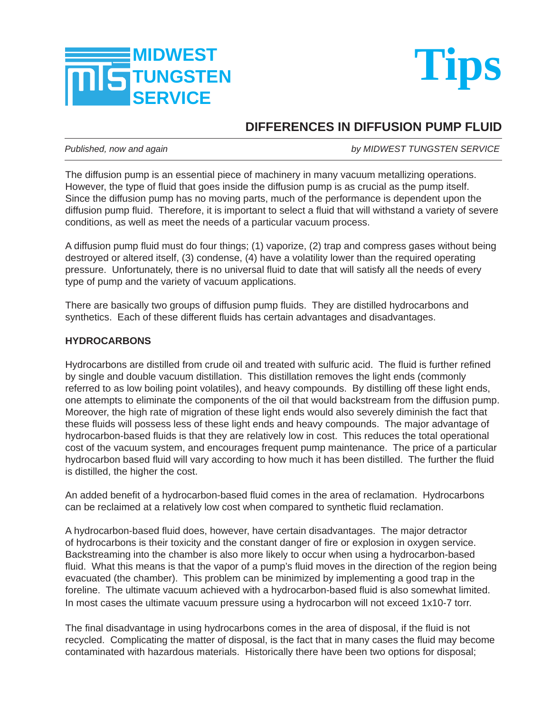



## **DIFFERENCES IN DIFFUSION PUMP FLUID**

*Published, now and again by MIDWEST TUNGSTEN SERVICE*

The diffusion pump is an essential piece of machinery in many vacuum metallizing operations. However, the type of fluid that goes inside the diffusion pump is as crucial as the pump itself. Since the diffusion pump has no moving parts, much of the performance is dependent upon the diffusion pump fluid. Therefore, it is important to select a fluid that will withstand a variety of severe conditions, as well as meet the needs of a particular vacuum process.

A diffusion pump fluid must do four things; (1) vaporize, (2) trap and compress gases without being destroyed or altered itself, (3) condense, (4) have a volatility lower than the required operating pressure. Unfortunately, there is no universal fluid to date that will satisfy all the needs of every type of pump and the variety of vacuum applications.

There are basically two groups of diffusion pump fluids. They are distilled hydrocarbons and synthetics. Each of these different fluids has certain advantages and disadvantages.

## **HYDROCARBONS**

Hydrocarbons are distilled from crude oil and treated with sulfuric acid. The fluid is further refined by single and double vacuum distillation. This distillation removes the light ends (commonly referred to as low boiling point volatiles), and heavy compounds. By distilling off these light ends, one attempts to eliminate the components of the oil that would backstream from the diffusion pump. Moreover, the high rate of migration of these light ends would also severely diminish the fact that these fluids will possess less of these light ends and heavy compounds. The major advantage of hydrocarbon-based fluids is that they are relatively low in cost. This reduces the total operational cost of the vacuum system, and encourages frequent pump maintenance. The price of a particular hydrocarbon based fluid will vary according to how much it has been distilled. The further the fluid is distilled, the higher the cost.

An added benefit of a hydrocarbon-based fluid comes in the area of reclamation. Hydrocarbons can be reclaimed at a relatively low cost when compared to synthetic fluid reclamation.

A hydrocarbon-based fluid does, however, have certain disadvantages. The major detractor of hydrocarbons is their toxicity and the constant danger of fire or explosion in oxygen service. Backstreaming into the chamber is also more likely to occur when using a hydrocarbon-based fluid. What this means is that the vapor of a pump's fluid moves in the direction of the region being evacuated (the chamber). This problem can be minimized by implementing a good trap in the foreline. The ultimate vacuum achieved with a hydrocarbon-based fluid is also somewhat limited. In most cases the ultimate vacuum pressure using a hydrocarbon will not exceed 1x10-7 torr.

The final disadvantage in using hydrocarbons comes in the area of disposal, if the fluid is not recycled. Complicating the matter of disposal, is the fact that in many cases the fluid may become contaminated with hazardous materials. Historically there have been two options for disposal;